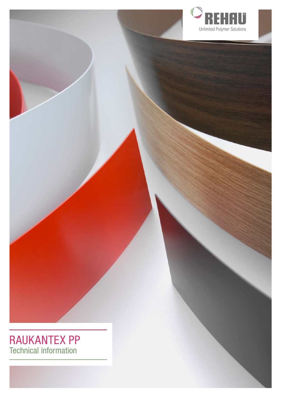

# RAUKANTEX PP Technical information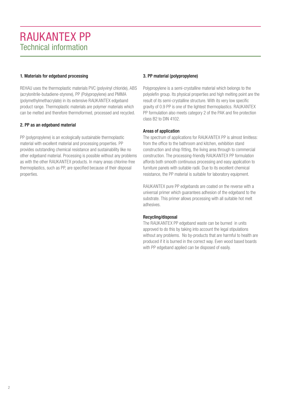## 1. Materials for edgeband processing

REHAU uses the thermoplastic materials PVC (polyvinyl chloride), ABS (acrylonitrile-butadiene-styrene), PP (Polypropylene) and PMMA (polymethylmethacrylate) in its extensive RAUKANTEX edgeband product range. Thermoplastic materials are polymer materials which can be melted and therefore thermoformed, processed and recycled.

## 2. PP as an edgeband material

PP (polypropylene) is an ecologically sustainable thermoplastic material with excellent material and processing properties. PP provides outstanding chemical resistance and sustainability like no other edgeband material. Processing is possible without any problems as with the other RAUKANTEX products. In many areas chlorine-free thermoplastics, such as PP, are specified because of their disposal properties.

## 3. PP material (polypropylene)

Polypropylene is a semi-crystalline material which belongs to the polyolefin group. Its physical properties and high melting point are the result of its semi-crystalline structure. With its very low specific gravity of 0.9 PP is one of the lightest thermoplastics. RAUKANTEX PP formulation also meets category 2 of the PAK and fire protection class B2 to DIN 4102.

## Areas of application

The spectrum of applications for RAUKANTEX PP is almost limitless: from the office to the bathroom and kitchen, exhibition stand construction and shop fitting, the living area through to commercial construction. The processing-friendly RAUKANTEX PP formulation affords both smooth continuous processing and easy application to furniture panels with suitable radii. Due to its excellent chemical resistance, the PP material is suitable for laboratory equipment.

RAUKANTEX pure PP edgebands are coated on the reverse with a universal primer which guarantees adhesion of the edgeband to the substrate. This primer allows processing with all suitable hot melt adhesives.

## Recycling/disposal

The RAUKANTEX PP edgeband waste can be burned in units approved to do this by taking into account the legal stipulations without any problems. No by-products that are harmful to health are produced if it is burned in the correct way. Even wood based boards with PP edgeband applied can be disposed of easily.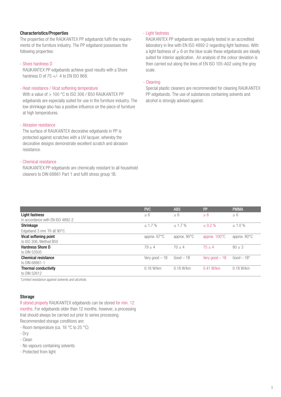## Characteristics/Properties

The properties of the RAUKANTEX PP edgebands fulfil the requirements of the furniture industry. The PP edgeband possesses the following properties:

#### - Shore hardness D

RAUKANTEX PP edgebands achieve good results with a Shore hardness D of  $75 +/- 4$  to EN ISO 868.

## - Heat resistance / Vicat softening temperature

With a value of  $> 100$  °C to ISO 306 / B50 RAUKANTEX PP edgebands are especially suited for use in the furniture industry. The low shrinkage also has a positive influence on the piece of furniture at high temperatures.

#### - Abrasion resistance

The surface of RAUKANTEX decorative edgebands in PP is protected against scratches with a UV lacquer, whereby the decorative designs demonstrate excellent scratch and abrasion resistance.

#### - Chemical resistance

RAUKANTEX PP edgebands are chemically resistant to all household cleaners to DIN 68861 Part 1 and fulfil stress group 1B.

#### - Light fastness

RAUKANTEX PP edgebands are regularly tested in an accredited laboratory in line with EN ISO 4892-2 regarding light fastness. With a light fastness of  $\geq 6$  on the blue scale these edgebands are ideally suited for interior application. An analysis of the colour deviation is then carried out along the lines of EN ISO 105-A02 using the grey scale.

#### - Cleaning

Special plastic cleaners are recommended for cleaning RAUKANTEX PP edgebands. The use of substances containing solvents and alcohol is strongly advised against.

|                                    | <b>PVC</b>             | <b>ABS</b>             | <b>PP</b>               | <b>PMMA</b>            |
|------------------------------------|------------------------|------------------------|-------------------------|------------------------|
| Light fastness                     | $\geq 6$               | > 6                    | $\geq 6$                | $\geq 6$               |
| In accordance with EN ISO 4892-2   |                        |                        |                         |                        |
| Shrinkage                          | $\leq 1.7 \%$          | $\leq 1.7\%$           | $\leq 0.2 \%$           | $\leq 1.0 \%$          |
| Edgeband 3 mm 1h at $90^{\circ}$ C |                        |                        |                         |                        |
| Vicat softening point              | approx. $67^{\circ}$ C | approx. $90^{\circ}$ C | approx. $100^{\circ}$ C | approx. $80^{\circ}$ C |
| to ISO 306, Method B50             |                        |                        |                         |                        |
| <b>Hardness Shore D</b>            | $79 + 4$               | $70 + 4$               | $75 + 4$                | $80 \pm 3$             |
| to DIN 53505                       |                        |                        |                         |                        |
| <b>Chemical resistance</b>         | Very good $-1B$        | $Good - 1B$            | Very good $-1B$         | $Good - 1B*$           |
| to DIN 68861-1                     |                        |                        |                         |                        |
| Thermal conductivity               | $0.16$ W/km            | $0.18$ W/km            | $0.41$ W/km             | $0.18$ W/km            |
| to DIN 52612                       |                        |                        |                         |                        |

*\*Limited resistance against solvents and alcohols.*

## Storage

If stored properly RAUKANTEX edgebands can be stored for min. 12 months. For edgebands older than 12 months, however, a processing trial should always be carried out prior to series processing. Recommended storage conditions are:

- Room temperature (ca. 18 °C to 25 °C)

- Dry
- Clean
- No vapours containing solvents
- Protected from light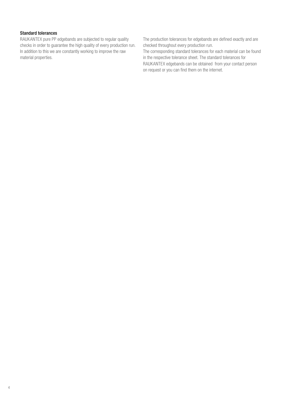### Standard tolerances

RAUKANTEX pure PP edgebands are subjected to regular quality checks in order to guarantee the high quality of every production run. In addition to this we are constantly working to improve the raw material properties.

The production tolerances for edgebands are defined exactly and are checked throughout every production run.

The corresponding standard tolerances for each material can be found in the respective tolerance sheet. The standard tolerances for RAUKANTEX edgebands can be obtained from your contact person on request or you can find them on the internet.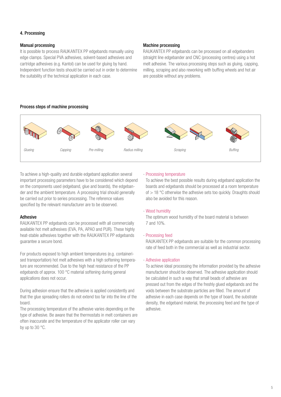## 4. Processing

### Manual processing

It is possible to process RAUKANTEX PP edgebands manually using edge clamps. Special PVA adhesives, solvent-based adhesives and cartridge adhesives (e.g. Kantol) can be used for gluing by hand. Independent function tests should be carried out in order to determine the suitability of the technical application in each case.

#### Machine processing

RAUKANTEX PP edgebands can be processed on all edgebanders (straight line edgebander and CNC (processing centres) using a hot melt adhesive. The various processing steps such as gluing, capping, milling, scraping and also reworking with buffing wheels and hot air are possible without any problems.

## Process steps of machine processing



To achieve a high-quality and durable edgeband application several important processing parameters have to be considered which depend on the components used (edgeband, glue and boards), the edgebander and the ambient temperature. A processing trial should generally be carried out prior to series processing. The reference values specified by the relevant manufacturer are to be observed.

## Adhesive

RAUKANTEX PP edgebands can be processed with all commercially available hot melt adhesives (EVA, PA, APAO and PUR). These highly heat-stable adhesives together with the RAUKANTEX PP edgebands guarantee a secure bond.

For products exposed to high ambient temperatures (e.g. containerised transportation) hot melt adhesives with a high softening temperature are recommended. Due to the high heat resistance of the PP edgebands of approx. 100 °C material softening during general applications does not occur.

During adhesion ensure that the adhesive is applied consistently and that the glue spreading rollers do not extend too far into the line of the board.

The processing temperature of the adhesive varies depending on the type of adhesive. Be aware that the thermostats in melt containers are often inaccurate and the temperature of the applicator roller can vary by up to 30 °C.

#### - Processing temperature

To achieve the best possible results during edgeband application the boards and edgebands should be processed at a room temperature of > 18 °C otherwise the adhesive sets too quickly. Draughts should also be avoided for this reason.

## - Wood humidity

The optimum wood humidity of the board material is between 7 and 10%.

#### - Processing feed

RAUKANTEX PP edgebands are suitable for the common processing rate of feed both in the commercial as well as industrial sector.

#### - Adhesive application

To achieve ideal processing the information provided by the adhesive manufacturer should be observed. The adhesive application should be calculated in such a way that small beads of adhesive are pressed out from the edges of the freshly glued edgebands and the voids between the substrate particles are filled. The amount of adhesive in each case depends on the type of board, the substrate density, the edgeband material, the processing feed and the type of adhesive.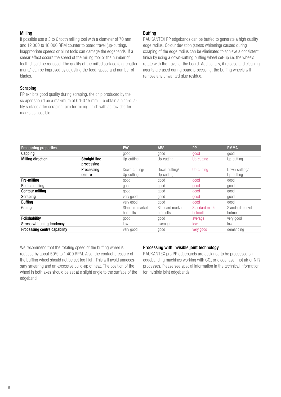#### Milling

If possible use a 3 to 6 tooth milling tool with a diameter of 70 mm and 12.000 to 18.000 RPM counter to board travel (up-cutting). Inappropriate speeds or blunt tools can damage the edgebands. If a smear effect occurs the speed of the milling tool or the number of teeth should be reduced. The quality of the milled surface (e.g. chatter marks) can be improved by adjusting the feed, speed and number of blades.

## **Scraping**

PP exhibits good quality during scraping, the chip produced by the scraper should be a maximum of 0.1-0.15 mm. To obtain a high-quality surface after scraping, aim for milling finish with as few chatter marks as possible.

### Buffing

RAUKANTEX PP edgebands can be buffed to generate a high quality edge radius. Colour deviation (stress whitening) caused during scraping of the edge radius can be eliminated to achieve a consistent finish by using a down-cutting buffing wheel set-up i.e. the wheels rotate with the travel of the board. Additionally, if release and cleaning agents are used during board processing, the buffing wheels will remove any unwanted glue residue.

| <b>Processing properties</b> |                      | <b>PVC</b>      | <b>ABS</b>      | <b>PP</b>       | <b>PMMA</b>     |
|------------------------------|----------------------|-----------------|-----------------|-----------------|-----------------|
| Capping                      |                      | good            | good            | good            | good            |
| <b>Milling direction</b>     | <b>Straight line</b> | Up-cutting      | Up-cutting      | Up-cutting      | Up-cutting      |
|                              | processing           |                 |                 |                 |                 |
|                              | Processing           | Down-cutting/   | Down-cutting/   | Up-cutting      | Down-cutting/   |
|                              | centre               | Up-cutting      | Up-cutting      |                 | Up-cutting      |
| Pre-milling                  |                      | good            | good            | good            | good            |
| Radius milling               |                      | good            | good            | good            | good            |
| <b>Contour milling</b>       |                      | good            | good            | good            | good            |
| Scraping                     |                      | very good       | good            | good            | good            |
| <b>Buffing</b>               |                      | very good       | good            | good            | good            |
| Gluing                       |                      | Standard market | Standard market | Standard market | Standard market |
|                              |                      | hotmelts        | hotmelts        | hotmelts        | hotmelts        |
| Polishability                |                      | good            | good            | average         | very good       |
| Stress whitening tendency    |                      | low             | average         | low             | low             |
| Processing centre capability |                      | very good       | good            | very good       | demanding       |

We recommend that the rotating speed of the buffing wheel is reduced by about 50% to 1.400 RPM. Also, the contact pressure of the buffing wheel should not be set too high. This will avoid unnecessary smearing and an excessive build-up of heat. The position of the wheel in both axes should be set at a slight angle to the surface of the edgeband.

## Processing with invisible joint technology

RAUKANTEX pro PP edgebands are designed to be processed on edgebanding machines working with CO<sub>2</sub> or diode laser, hot air or NIR processes. Please see special information in the technical information for invisible joint edgebands.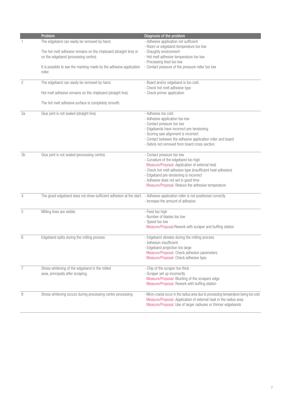|                | Problem                                                                                                                      | Diagnosis of the problem                                                             |
|----------------|------------------------------------------------------------------------------------------------------------------------------|--------------------------------------------------------------------------------------|
| 1              | The edgeband can easily be removed by hand.                                                                                  | - Adhesive application not sufficient                                                |
|                |                                                                                                                              | - Room or edgeband temperature too low                                               |
|                | The hot melt adhesive remains on the chipboard (straight line) or                                                            | - Draughty environment                                                               |
|                | on the edgeband (processing centre).                                                                                         | - Hot melt adhesive temperature too low                                              |
|                |                                                                                                                              | - Processing feed too low                                                            |
|                | It is possible to see the marking made by the adhesive application                                                           | - Contact pressure of the pressure roller too low                                    |
|                | roller.                                                                                                                      |                                                                                      |
|                |                                                                                                                              |                                                                                      |
| $\mathbf{2}$   | The edgeband can easily be removed by hand.                                                                                  | - Board and/or edgeband is too cold.                                                 |
|                |                                                                                                                              | - Check hot melt adhesive type                                                       |
|                | Hot melt adhesive remains on the chipboard (straight line).                                                                  | - Check primer application                                                           |
|                |                                                                                                                              |                                                                                      |
|                | The hot melt adhesive surface is completely smooth.                                                                          |                                                                                      |
|                |                                                                                                                              |                                                                                      |
| 3a             | Glue joint is not sealed (straight line).                                                                                    | - Adhesive too cold                                                                  |
|                |                                                                                                                              | - Adhesive application too low                                                       |
|                |                                                                                                                              | - Contact pressure too low                                                           |
|                |                                                                                                                              | - Edgebands have incorrect pre-tensioning                                            |
|                |                                                                                                                              | - Scoring saw alignment is incorrect                                                 |
|                |                                                                                                                              | - Contact between the adhesive application roller and board                          |
|                |                                                                                                                              | - Debris not removed from board cross-section                                        |
|                |                                                                                                                              |                                                                                      |
| 3b             | Glue joint is not sealed (processing centre).                                                                                | - Contact pressure too low                                                           |
|                |                                                                                                                              | - Curvature of the edgeband too high                                                 |
|                |                                                                                                                              | Measure/Proposal: Application of external heat                                       |
|                |                                                                                                                              | - Check hot melt adhesive type (insufficient heat adhesion)                          |
|                |                                                                                                                              | - Edgeband pre-tensioning is incorrect                                               |
|                |                                                                                                                              | - Adhesive does not set in good time                                                 |
|                |                                                                                                                              | Measure/Proposal: Reduce the adhesive temperature                                    |
|                |                                                                                                                              |                                                                                      |
| $\overline{4}$ | The glued edgeband does not show sufficient adhesion at the start. - Adhesive application roller is not positioned correctly |                                                                                      |
|                |                                                                                                                              | - Increase the amount of adhesive                                                    |
|                |                                                                                                                              |                                                                                      |
| 5              | Milling lines are visible.                                                                                                   | - Feed too high                                                                      |
|                |                                                                                                                              | - Number of blades too low                                                           |
|                |                                                                                                                              | - Speed too low                                                                      |
|                |                                                                                                                              | Measure/Proposal:Rework with scraper and buffing station                             |
|                |                                                                                                                              |                                                                                      |
| 6              | Edgeband splits during the milling process.                                                                                  | - Edgeband vibrates during the milling process                                       |
|                |                                                                                                                              | - Adhesion insufficient                                                              |
|                |                                                                                                                              | - Edgeband projection too large                                                      |
|                |                                                                                                                              | Measure/Proposal: Check adhesion parameters                                          |
|                |                                                                                                                              | Measure/Proposal: Check adhesive type                                                |
|                |                                                                                                                              |                                                                                      |
| $\overline{7}$ | Stress whitening of the edgeband in the milled                                                                               | - Chip of the scraper too thick                                                      |
|                | area, principally after scraping.                                                                                            | - Scraper set up incorrectly                                                         |
|                |                                                                                                                              | Measure/Proposal: Blunting of the scrapers edge                                      |
|                |                                                                                                                              | Measure/Proposal: Rework with buffing station                                        |
|                |                                                                                                                              |                                                                                      |
| 8              | Stress whitening occurs during processing centre processing.                                                                 | - Micro-cracks occur in the radius area due to processing temperature being too cold |
|                |                                                                                                                              | Measure/Proposal: Application of external heat in the radius area                    |
|                |                                                                                                                              | Measure/Proposal: Use of larger radiuses or thinner edgebands                        |
|                |                                                                                                                              |                                                                                      |